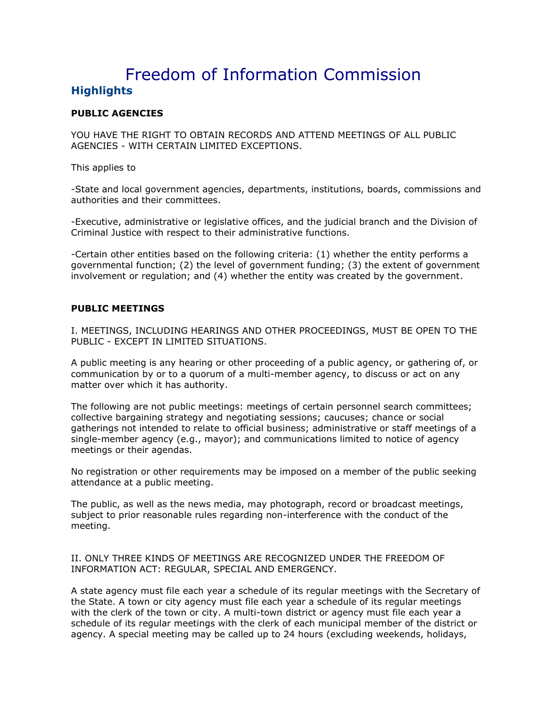# Freedom of Information Commission **Highlights**

## **PUBLIC AGENCIES**

YOU HAVE THE RIGHT TO OBTAIN RECORDS AND ATTEND MEETINGS OF ALL PUBLIC AGENCIES - WITH CERTAIN LIMITED EXCEPTIONS.

This applies to

-State and local government agencies, departments, institutions, boards, commissions and authorities and their committees.

-Executive, administrative or legislative offices, and the judicial branch and the Division of Criminal Justice with respect to their administrative functions.

-Certain other entities based on the following criteria: (1) whether the entity performs a governmental function; (2) the level of government funding; (3) the extent of government involvement or regulation; and (4) whether the entity was created by the government.

#### **PUBLIC MEETINGS**

I. MEETINGS, INCLUDING HEARINGS AND OTHER PROCEEDINGS, MUST BE OPEN TO THE PUBLIC - EXCEPT IN LIMITED SITUATIONS.

A public meeting is any hearing or other proceeding of a public agency, or gathering of, or communication by or to a quorum of a multi-member agency, to discuss or act on any matter over which it has authority.

The following are not public meetings: meetings of certain personnel search committees; collective bargaining strategy and negotiating sessions; caucuses; chance or social gatherings not intended to relate to official business; administrative or staff meetings of a single-member agency (e.g., mayor); and communications limited to notice of agency meetings or their agendas.

No registration or other requirements may be imposed on a member of the public seeking attendance at a public meeting.

The public, as well as the news media, may photograph, record or broadcast meetings, subject to prior reasonable rules regarding non-interference with the conduct of the meeting.

II. ONLY THREE KINDS OF MEETINGS ARE RECOGNIZED UNDER THE FREEDOM OF INFORMATION ACT: REGULAR, SPECIAL AND EMERGENCY.

A state agency must file each year a schedule of its regular meetings with the Secretary of the State. A town or city agency must file each year a schedule of its regular meetings with the clerk of the town or city. A multi-town district or agency must file each year a schedule of its regular meetings with the clerk of each municipal member of the district or agency. A special meeting may be called up to 24 hours (excluding weekends, holidays,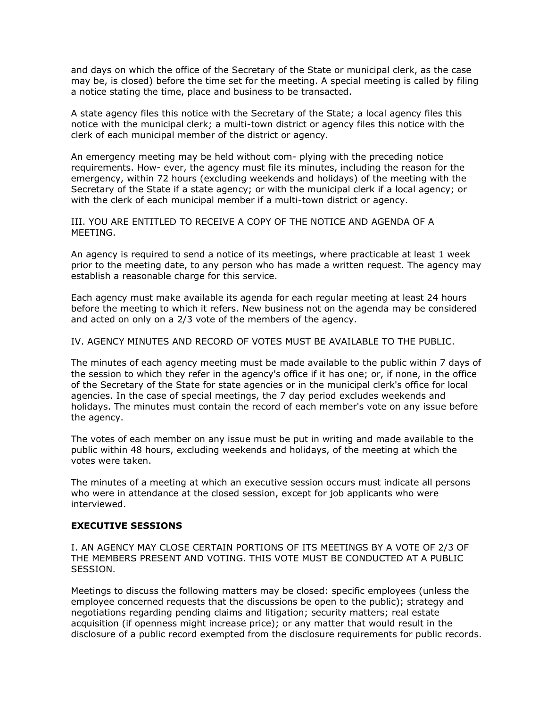and days on which the office of the Secretary of the State or municipal clerk, as the case may be, is closed) before the time set for the meeting. A special meeting is called by filing a notice stating the time, place and business to be transacted.

A state agency files this notice with the Secretary of the State; a local agency files this notice with the municipal clerk; a multi-town district or agency files this notice with the clerk of each municipal member of the district or agency.

An emergency meeting may be held without com- plying with the preceding notice requirements. How- ever, the agency must file its minutes, including the reason for the emergency, within 72 hours (excluding weekends and holidays) of the meeting with the Secretary of the State if a state agency; or with the municipal clerk if a local agency; or with the clerk of each municipal member if a multi-town district or agency.

III. YOU ARE ENTITLED TO RECEIVE A COPY OF THE NOTICE AND AGENDA OF A MEETING.

An agency is required to send a notice of its meetings, where practicable at least 1 week prior to the meeting date, to any person who has made a written request. The agency may establish a reasonable charge for this service.

Each agency must make available its agenda for each regular meeting at least 24 hours before the meeting to which it refers. New business not on the agenda may be considered and acted on only on a 2/3 vote of the members of the agency.

IV. AGENCY MINUTES AND RECORD OF VOTES MUST BE AVAILABLE TO THE PUBLIC.

The minutes of each agency meeting must be made available to the public within 7 days of the session to which they refer in the agency's office if it has one; or, if none, in the office of the Secretary of the State for state agencies or in the municipal clerk's office for local agencies. In the case of special meetings, the 7 day period excludes weekends and holidays. The minutes must contain the record of each member's vote on any issue before the agency.

The votes of each member on any issue must be put in writing and made available to the public within 48 hours, excluding weekends and holidays, of the meeting at which the votes were taken.

The minutes of a meeting at which an executive session occurs must indicate all persons who were in attendance at the closed session, except for job applicants who were interviewed.

### **EXECUTIVE SESSIONS**

I. AN AGENCY MAY CLOSE CERTAIN PORTIONS OF ITS MEETINGS BY A VOTE OF 2/3 OF THE MEMBERS PRESENT AND VOTING. THIS VOTE MUST BE CONDUCTED AT A PUBLIC SESSION.

Meetings to discuss the following matters may be closed: specific employees (unless the employee concerned requests that the discussions be open to the public); strategy and negotiations regarding pending claims and litigation; security matters; real estate acquisition (if openness might increase price); or any matter that would result in the disclosure of a public record exempted from the disclosure requirements for public records.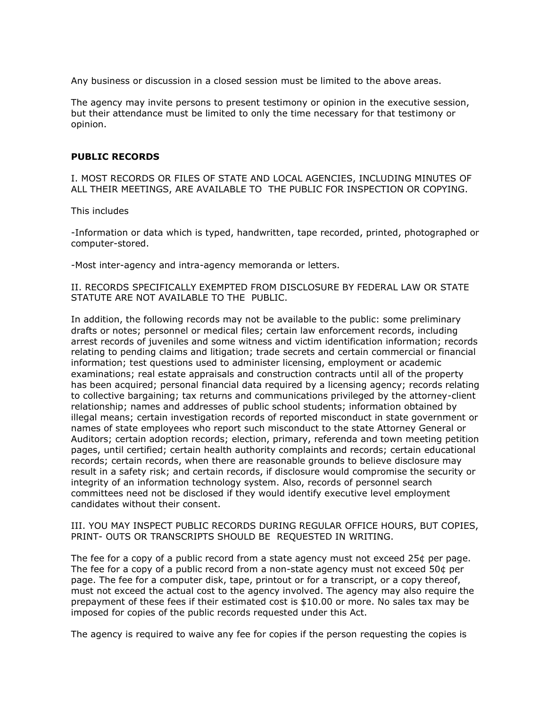Any business or discussion in a closed session must be limited to the above areas.

The agency may invite persons to present testimony or opinion in the executive session, but their attendance must be limited to only the time necessary for that testimony or opinion.

#### **PUBLIC RECORDS**

I. MOST RECORDS OR FILES OF STATE AND LOCAL AGENCIES, INCLUDING MINUTES OF ALL THEIR MEETINGS, ARE AVAILABLE TO THE PUBLIC FOR INSPECTION OR COPYING.

This includes

-Information or data which is typed, handwritten, tape recorded, printed, photographed or computer-stored.

-Most inter-agency and intra-agency memoranda or letters.

II. RECORDS SPECIFICALLY EXEMPTED FROM DISCLOSURE BY FEDERAL LAW OR STATE STATUTE ARE NOT AVAILABLE TO THE PUBLIC.

In addition, the following records may not be available to the public: some preliminary drafts or notes; personnel or medical files; certain law enforcement records, including arrest records of juveniles and some witness and victim identification information; records relating to pending claims and litigation; trade secrets and certain commercial or financial information; test questions used to administer licensing, employment or academic examinations; real estate appraisals and construction contracts until all of the property has been acquired; personal financial data required by a licensing agency; records relating to collective bargaining; tax returns and communications privileged by the attorney-client relationship; names and addresses of public school students; information obtained by illegal means; certain investigation records of reported misconduct in state government or names of state employees who report such misconduct to the state Attorney General or Auditors; certain adoption records; election, primary, referenda and town meeting petition pages, until certified; certain health authority complaints and records; certain educational records; certain records, when there are reasonable grounds to believe disclosure may result in a safety risk; and certain records, if disclosure would compromise the security or integrity of an information technology system. Also, records of personnel search committees need not be disclosed if they would identify executive level employment candidates without their consent.

III. YOU MAY INSPECT PUBLIC RECORDS DURING REGULAR OFFICE HOURS, BUT COPIES, PRINT- OUTS OR TRANSCRIPTS SHOULD BE REQUESTED IN WRITING.

The fee for a copy of a public record from a state agency must not exceed 25¢ per page. The fee for a copy of a public record from a non-state agency must not exceed 50¢ per page. The fee for a computer disk, tape, printout or for a transcript, or a copy thereof, must not exceed the actual cost to the agency involved. The agency may also require the prepayment of these fees if their estimated cost is \$10.00 or more. No sales tax may be imposed for copies of the public records requested under this Act.

The agency is required to waive any fee for copies if the person requesting the copies is